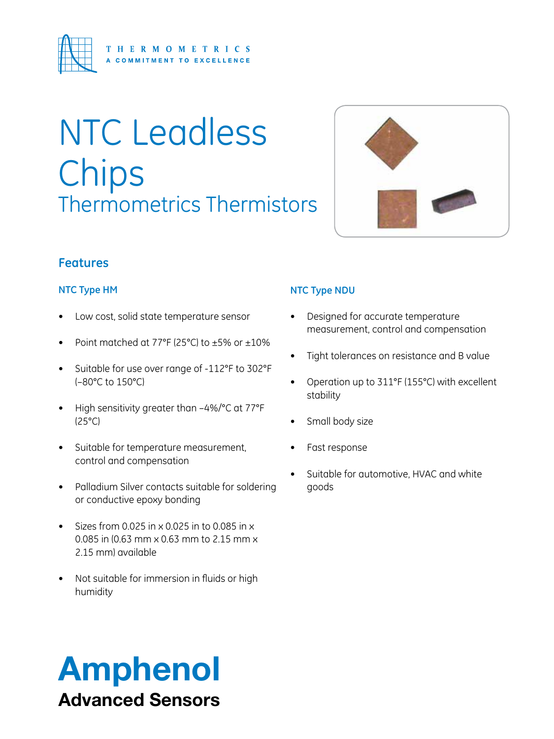

# NTC Leadless Chips Thermometrics Thermistors



#### **Features**

#### **NTC Type HM**

- Low cost, solid state temperature sensor
- Point matched at 77 $\degree$ F (25 $\degree$ C) to  $\pm$ 5% or  $\pm$ 10%
- • Suitable for use over range of -112°F to 302°F (–80°C to 150°C)
- High sensitivity greater than  $-4\%$ /°C at 77°F (25°C)
- • Suitable for temperature measurement, control and compensation
- Palladium Silver contacts suitable for soldering or conductive epoxy bonding
- $\bullet$  Sizes from 0.025 in x 0.025 in to 0.085 in x 0.085 in (0.63 mm x 0.63 mm to 2.15 mm x 2.15 mm) available
- Not suitable for immersion in fluids or high humidity

#### **NTC Type NDU**

- • Designed for accurate temperature measurement, control and compensation
- Tight tolerances on resistance and B value
- • Operation up to 311°F (155°C) with excellent stability
- Small body size
- Fast response
- Suitable for automotive, HVAC and white goods

# Amphenol Advanced Sensors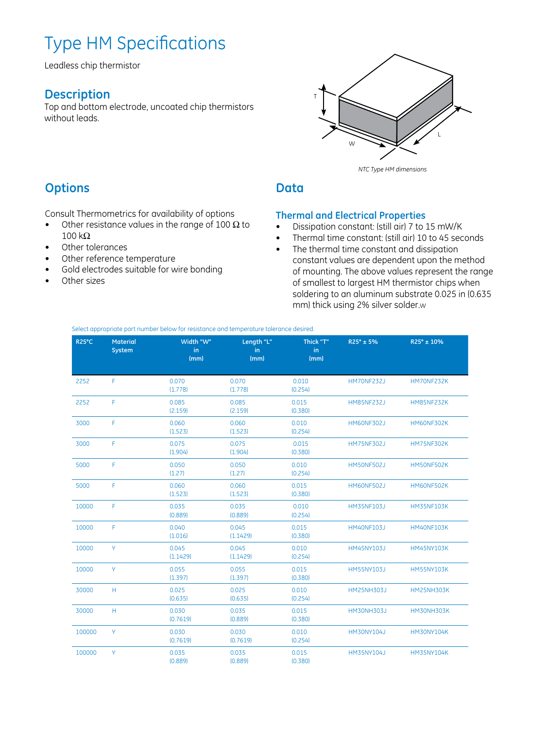## Type HM Specifications

Leadless chip thermistor

#### **Description**

Top and bottom electrode, uncoated chip thermistors without leads.



*NTC Type HM dimensions*

#### **Options**

Consult Thermometrics for availability of options

- Other resistance values in the range of 100  $\Omega$  to  $100$  kΩ
- Other tolerances
- Other reference temperature
- Gold electrodes suitable for wire bonding
- Other sizes

#### **Data**

#### **Thermal and Electrical Properties**

- • Dissipation constant: (still air) 7 to 15 mW/K
- • Thermal time constant: (still air) 10 to 45 seconds
- The thermal time constant and dissipation constant values are dependent upon the method of mounting. The above values represent the range of smallest to largest HM thermistor chips when soldering to an aluminum substrate 0.025 in (0.635 mm) thick using 2% silver solder.w

Select appropriate part number below for resistance and temperature tolerance desired.

| R <sub>25°C</sub> | <b>Material</b><br>System | Width "W"<br>in.<br>(mm) | Length "L"<br>in<br>(mm) | Thick "T"<br>in.<br>(mm) | R25° ± 5%         | R25° ± 10%        |
|-------------------|---------------------------|--------------------------|--------------------------|--------------------------|-------------------|-------------------|
| 2252              | $\mathsf{F}$              | 0.070<br>(1.778)         | 0.070<br>(1.778)         | 0.010<br>(0.254)         | <b>HM70NF232J</b> | HM70NF232K        |
| 2252              | $\mathsf F$               | 0.085<br>(2.159)         | 0.085<br>(2.159)         | 0.015<br>(0.380)         | <b>HM85NF232J</b> | <b>HM85NF232K</b> |
| 3000              | F                         | 0.060<br>(1.523)         | 0.060<br>(1.523)         | 0.010<br>(0.254)         | <b>HM60NF302J</b> | <b>HM60NF302K</b> |
| 3000              | F                         | 0.075<br>(1.904)         | 0.075<br>(1.904)         | 0.015<br>(0.380)         | <b>HM75NF302J</b> | <b>HM75NF302K</b> |
| 5000              | $\mathsf F$               | 0.050<br>(1.27)          | 0.050<br>(1.27)          | 0.010<br>(0.254)         | <b>HM50NF502J</b> | HM50NF502K        |
| 5000              | F                         | 0.060<br>(1.523)         | 0.060<br>(1.523)         | 0.015<br>(0.380)         | <b>HM60NF502J</b> | HM60NF502K        |
| 10000             | F                         | 0.035<br>(0.889)         | 0.035<br>(0.889)         | 0.010<br>(0.254)         | <b>HM35NF103J</b> | <b>HM35NF103K</b> |
| 10000             | F                         | 0.040<br>(1.016)         | 0.045<br>(1.1429)        | 0.015<br>(0.380)         | <b>HM40NF103J</b> | <b>HM40NF103K</b> |
| 10000             | Y.                        | 0.045<br>(1.1429)        | 0.045<br>(1.1429)        | 0.010<br>(0.254)         | <b>HM45NY103J</b> | <b>HM45NY103K</b> |
| 10000             | Y                         | 0.055<br>(1.397)         | 0.055<br>(1.397)         | 0.015<br>(0.380)         | <b>HM55NY103J</b> | <b>HM55NY103K</b> |
| 30000             | H                         | 0.025<br>(0.635)         | 0.025<br>(0.635)         | 0.010<br>(0.254)         | <b>HM25NH303J</b> | <b>HM25NH303K</b> |
| 30000             | H                         | 0.030<br>(0.7619)        | 0.035<br>(0.889)         | 0.015<br>(0.380)         | <b>HM30NH303J</b> | HM30NH303K        |
| 100000            | Y                         | 0.030<br>(0.7619)        | 0.030<br>(0.7619)        | 0.010<br>(0.254)         | <b>HM30NY104J</b> | <b>HM30NY104K</b> |
| 100000            | Y                         | 0.035<br>(0.889)         | 0.035<br>(0.889)         | 0.015<br>(0.380)         | <b>HM35NY104J</b> | <b>HM35NY104K</b> |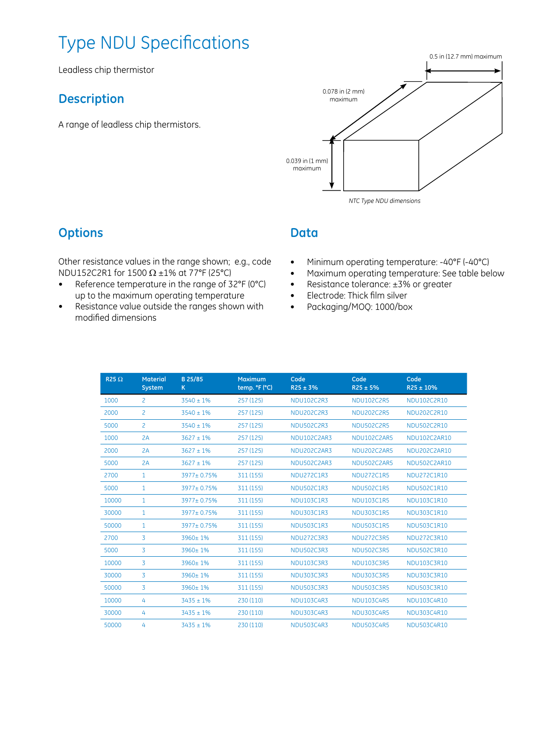## Type NDU Specifications

Leadless chip thermistor

#### **Description**

A range of leadless chip thermistors.



#### **Options**

Other resistance values in the range shown; e.g., code NDU152C2R1 for 1500  $\Omega$  ±1% at 77°F (25°C)

- • Reference temperature in the range of 32°F (0°C) up to the maximum operating temperature
- • Resistance value outside the ranges shown with modified dimensions

#### **Data**

- • Minimum operating temperature: -40°F (-40°C)
- • Maximum operating temperature: See table below
- Resistance tolerance: ±3% or greater
- • Electrode: Thick film silver
- • Packaging/MOQ: 1000/box

| R <sub>25<math>\Omega</math></sub> | <b>Material</b><br><b>System</b> | B 25/85<br>K.  | <b>Maximum</b><br>temp. °F (°C) | Code<br>$R25 \pm 3%$ | Code<br>$R25 \pm 5%$ | Code<br>$R25 \pm 10\%$ |
|------------------------------------|----------------------------------|----------------|---------------------------------|----------------------|----------------------|------------------------|
| 1000                               | 2                                | $3540 \pm 1\%$ | 257 (125)                       | NDU102C2R3           | NDU102C2R5           | NDU102C2R10            |
| 2000                               | $\overline{c}$                   | $3540 \pm 1\%$ | 257 (125)                       | <b>NDU202C2R3</b>    | <b>NDU202C2R5</b>    | NDU202C2R10            |
| 5000                               | $\overline{c}$                   | $3540 \pm 1\%$ | 257 (125)                       | <b>NDU502C2R3</b>    | <b>NDU502C2R5</b>    | NDU502C2R10            |
| 1000                               | 2A                               | $3627 \pm 1\%$ | 257 (125)                       | NDU102C2AR3          | NDU102C2AR5          | NDU102C2AR10           |
| 2000                               | 2A                               | $3627 \pm 1\%$ | 257 (125)                       | <b>NDU202C2AR3</b>   | NDU202C2AR5          | NDU202C2AR10           |
| 5000                               | 2A                               | $3627 \pm 1\%$ | 257 (125)                       | <b>NDU502C2AR3</b>   | <b>NDU502C2AR5</b>   | NDU502C2AR10           |
| 2700                               | $\mathbf{1}$                     | 3977±0.75%     | 311 (155)                       | <b>NDU272C1R3</b>    | <b>NDU272C1R5</b>    | NDU272C1R10            |
| 5000                               | $\mathbf{1}$                     | 3977±0.75%     | 311 (155)                       | <b>NDU502C1R3</b>    | <b>NDU502C1R5</b>    | NDU502C1R10            |
| 10000                              | $\mathbf{1}$                     | 3977±0.75%     | 311 (155)                       | NDU103C1R3           | <b>NDU103C1R5</b>    | NDU103C1R10            |
| 30000                              | $\mathbf{1}$                     | 3977±0.75%     | 311 (155)                       | <b>NDU303C1R3</b>    | <b>NDU303C1R5</b>    | NDU303C1R10            |
| 50000                              | $\mathbf{1}$                     | 3977±0.75%     | 311 (155)                       | <b>NDU503C1R3</b>    | <b>NDU503C1R5</b>    | NDU503C1R10            |
| 2700                               | 3                                | 3960±1%        | 311 (155)                       | <b>NDU272C3R3</b>    | <b>NDU272C3R5</b>    | NDU272C3R10            |
| 5000                               | 3                                | 3960±1%        | 311 (155)                       | <b>NDU502C3R3</b>    | <b>NDU502C3R5</b>    | NDU502C3R10            |
| 10000                              | 3                                | 3960±1%        | 311 (155)                       | NDU103C3R3           | <b>NDU103C3R5</b>    | NDU103C3R10            |
| 30000                              | 3                                | 3960±1%        | 311 (155)                       | <b>NDU303C3R3</b>    | <b>NDU303C3R5</b>    | NDU303C3R10            |
| 50000                              | 3                                | $3960 + 1%$    | 311 (155)                       | <b>NDU503C3R3</b>    | <b>NDU503C3R5</b>    | NDU503C3R10            |
| 10000                              | 4                                | $3435 \pm 1\%$ | 230 (110)                       | NDU103C4R3           | <b>NDU103C4R5</b>    | NDU103C4R10            |
| 30000                              | 4                                | $3435 \pm 1\%$ | 230 (110)                       | <b>NDU303C4R3</b>    | <b>NDU303C4R5</b>    | NDU303C4R10            |
| 50000                              | 4                                | $3435 \pm 1\%$ | 230 (110)                       | <b>NDU503C4R3</b>    | <b>NDU503C4R5</b>    | NDU503C4R10            |